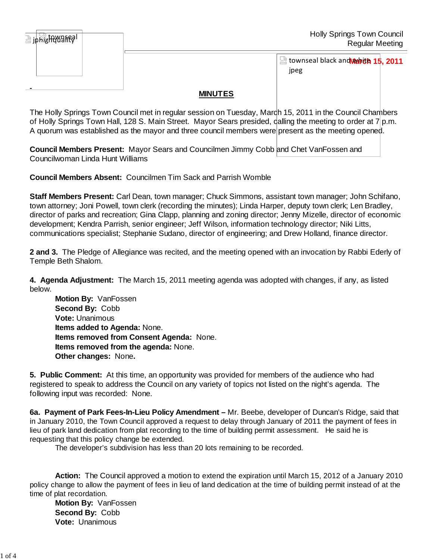| <b>Holly Springs Town Council</b><br><b>Regular Meeting</b> | jphighawanegi |
|-------------------------------------------------------------|---------------|
| townseal black and werth 15, 2011<br>jpeg                   |               |

## **MINUTES**

The Holly Springs Town Council met in regular session on Tuesday, March 15, 2011 in the Council Chambers of Holly Springs Town Hall, 128 S. Main Street. Mayor Sears presided, dalling the meeting to order at 7 p.m. A quorum was established as the mayor and three council members were present as the meeting opened.

**Council Members Present:** Mayor Sears and Councilmen Jimmy Cobb and Chet VanFossen and Councilwoman Linda Hunt Williams

**Council Members Absent:** Councilmen Tim Sack and Parrish Womble

**Staff Members Present:** Carl Dean, town manager; Chuck Simmons, assistant town manager; John Schifano, town attorney; Joni Powell, town clerk (recording the minutes); Linda Harper, deputy town clerk; Len Bradley, director of parks and recreation; Gina Clapp, planning and zoning director; Jenny Mizelle, director of economic development; Kendra Parrish, senior engineer; Jeff Wilson, information technology director; Niki Litts, communications specialist; Stephanie Sudano, director of engineering; and Drew Holland, finance director.

**2 and 3.** The Pledge of Allegiance was recited, and the meeting opened with an invocation by Rabbi Ederly of Temple Beth Shalom.

**4. Agenda Adjustment:** The March 15, 2011 meeting agenda was adopted with changes, if any, as listed below.

**Motion By: VanFossen Second By:** Cobb **Vote:** Unanimous **Items added to Agenda:** None. **Items removed from Consent Agenda:** None. **Items removed from the agenda:** None. **Other changes:** None**.**

**5. Public Comment:** At this time, an opportunity was provided for members of the audience who had registered to speak to address the Council on any variety of topics not listed on the night's agenda. The following input was recorded: None.

**6a. Payment of Park Fees-In-Lieu Policy Amendment –** Mr. Beebe, developer of Duncan's Ridge, said that in January 2010, the Town Council approved a request to delay through January of 2011 the payment of fees in lieu of park land dedication from plat recording to the time of building permit assessment. He said he is requesting that this policy change be extended.

The developer's subdivision has less than 20 lots remaining to be recorded.

 **Action:** The Council approved a motion to extend the expiration until March 15, 2012 of a January 2010 policy change to allow the payment of fees in lieu of land dedication at the time of building permit instead of at the time of plat recordation.

 **Motion By:** VanFossen **Second By:** Cobb **Vote:** Unanimous

霞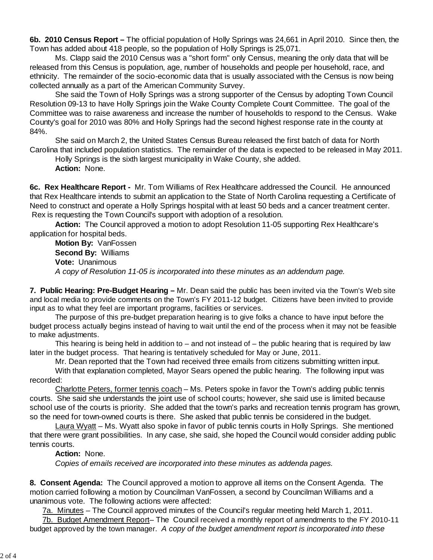**6b. 2010 Census Report –** The official population of Holly Springs was 24,661 in April 2010. Since then, the Town has added about 418 people, so the population of Holly Springs is 25,071.

Ms. Clapp said the 2010 Census was a "short form" only Census, meaning the only data that will be released from this Census is population, age, number of households and people per household, race, and ethnicity. The remainder of the socio-economic data that is usually associated with the Census is now being collected annually as a part of the American Community Survey.

 She said the Town of Holly Springs was a strong supporter of the Census by adopting Town Council Resolution 09-13 to have Holly Springs join the Wake County Complete Count Committee. The goal of the Committee was to raise awareness and increase the number of households to respond to the Census. Wake County's goal for 2010 was 80% and Holly Springs had the second highest response rate in the county at 84%.

 She said on March 2, the United States Census Bureau released the first batch of data for North Carolina that included population statistics. The remainder of the data is expected to be released in May 2011.

 Holly Springs is the sixth largest municipality in Wake County, she added. **Action:** None.

**6c. Rex Healthcare Report -** Mr. Tom Williams of Rex Healthcare addressed the Council. He announced that Rex Healthcare intends to submit an application to the State of North Carolina requesting a Certificate of Need to construct and operate a Holly Springs hospital with at least 50 beds and a cancer treatment center. Rex is requesting the Town Council's support with adoption of a resolution.

**Action:** The Council approved a motion to adopt Resolution 11-05 supporting Rex Healthcare's application for hospital beds.

 **Motion By:** VanFossen **Second By:** Williams **Vote:** Unanimous  *A copy of Resolution 11-05 is incorporated into these minutes as an addendum page.*

**7. Public Hearing: Pre-Budget Hearing –** Mr. Dean said the public has been invited via the Town's Web site and local media to provide comments on the Town's FY 2011-12 budget. Citizens have been invited to provide input as to what they feel are important programs, facilities or services.

 The purpose of this pre-budget preparation hearing is to give folks a chance to have input before the budget process actually begins instead of having to wait until the end of the process when it may not be feasible to make adjustments.

 This hearing is being held in addition to – and not instead of – the public hearing that is required by law later in the budget process. That hearing is tentatively scheduled for May or June, 2011.

 Mr. Dean reported that the Town had received three emails from citizens submitting written input. With that explanation completed, Mayor Sears opened the public hearing. The following input was

recorded:

 Charlotte Peters, former tennis coach – Ms. Peters spoke in favor the Town's adding public tennis courts. She said she understands the joint use of school courts; however, she said use is limited because school use of the courts is priority. She added that the town's parks and recreation tennis program has grown, so the need for town-owned courts is there. She asked that public tennis be considered in the budget.

 Laura Wyatt – Ms. Wyatt also spoke in favor of public tennis courts in Holly Springs. She mentioned that there were grant possibilities. In any case, she said, she hoped the Council would consider adding public tennis courts.

## **Action:** None.

*Copies of emails received are incorporated into these minutes as addenda pages.*

**8. Consent Agenda:** The Council approved a motion to approve all items on the Consent Agenda. The motion carried following a motion by Councilman VanFossen, a second by Councilman Williams and a unanimous vote. The following actions were affected:

7a. Minutes – The Council approved minutes of the Council's regular meeting held March 1, 2011.

7b. Budget Amendment Report– The Council received a monthly report of amendments to the FY 2010-11 budget approved by the town manager. *A copy of the budget amendment report is incorporated into these*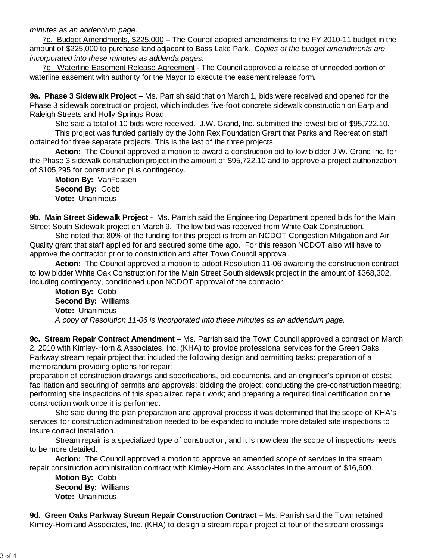*minutes as an addendum page.*

7c. Budget Amendments, \$225,000 – The Council adopted amendments to the FY 2010-11 budget in the amount of \$225,000 to purchase land adjacent to Bass Lake Park. *Copies of the budget amendments are incorporated into these minutes as addenda pages.*

7d. Waterline Easement Release Agreement - The Council approved a release of unneeded portion of waterline easement with authority for the Mayor to execute the easement release form.

**9a. Phase 3 Sidewalk Project –** Ms. Parrish said that on March 1, bids were received and opened for the Phase 3 sidewalk construction project, which includes five-foot concrete sidewalk construction on Earp and Raleigh Streets and Holly Springs Road.

She said a total of 10 bids were received. J.W. Grand, Inc. submitted the lowest bid of \$95,722.10.

 This project was funded partially by the John Rex Foundation Grant that Parks and Recreation staff obtained for three separate projects. This is the last of the three projects.

**Action:** The Council approved a motion to award a construction bid to low bidder J.W. Grand Inc. for the Phase 3 sidewalk construction project in the amount of \$95,722.10 and to approve a project authorization of \$105,295 for construction plus contingency.

**Motion By:** VanFossen **Second By:** Cobb **Vote:** Unanimous

**9b. Main Street Sidewalk Project -** Ms. Parrish said the Engineering Department opened bids for the Main Street South Sidewalk project on March 9. The low bid was received from White Oak Construction.

 She noted that 80% of the funding for this project is from an NCDOT Congestion Mitigation and Air Quality grant that staff applied for and secured some time ago. For this reason NCDOT also will have to approve the contractor prior to construction and after Town Council approval.

**Action:** The Council approved a motion to adopt Resolution 11-06 awarding the construction contract to low bidder White Oak Construction for the Main Street South sidewalk project in the amount of \$368,302, including contingency, conditioned upon NCDOT approval of the contractor.

**Motion By:** Cobb **Second By:** Williams **Vote:** Unanimous *A copy of Resolution 11-06 is incorporated into these minutes as an addendum page.*

**9c. Stream Repair Contract Amendment –** Ms. Parrish said the Town Council approved a contract on March 2, 2010 with Kimley-Horn & Associates, Inc. (KHA) to provide professional services for the Green Oaks Parkway stream repair project that included the following design and permitting tasks: preparation of a memorandum providing options for repair;

preparation of construction drawings and specifications, bid documents, and an engineer's opinion of costs; facilitation and securing of permits and approvals; bidding the project; conducting the pre-construction meeting; performing site inspections of this specialized repair work; and preparing a required final certification on the construction work once it is performed.

 She said during the plan preparation and approval process it was determined that the scope of KHA's services for construction administration needed to be expanded to include more detailed site inspections to insure correct installation.

 Stream repair is a specialized type of construction, and it is now clear the scope of inspections needs to be more detailed.

**Action:** The Council approved a motion to approve an amended scope of services in the stream repair construction administration contract with Kimley-Horn and Associates in the amount of \$16,600.

**Motion By:** Cobb **Second By:** Williams **Vote:** Unanimous

**9d. Green Oaks Parkway Stream Repair Construction Contract –** Ms. Parrish said the Town retained Kimley-Horn and Associates, Inc. (KHA) to design a stream repair project at four of the stream crossings